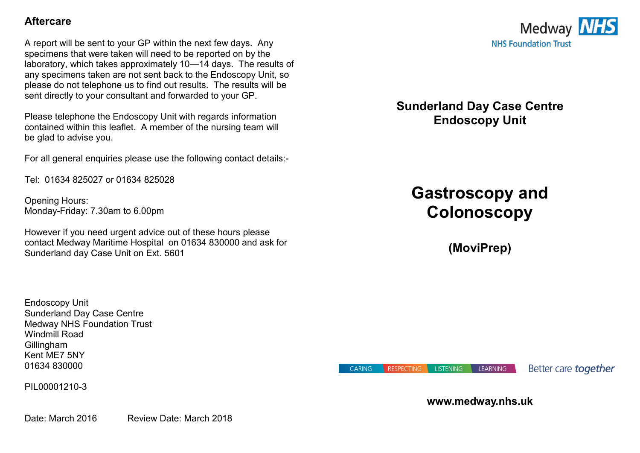## **Aftercare**

A report will be sent to your GP within the next few days. Any specimens that were taken will need to be reported on by the laboratory, which takes approximately 10—14 days. The results of any specimens taken are not sent back to the Endoscopy Unit, so please do not telephone us to find out results. The results will be sent directly to your consultant and forwarded to your GP.

Please telephone the Endoscopy Unit with regards information contained within this leaflet. A member of the nursing team will be glad to advise you.

For all general enquiries please use the following contact details:-

Tel: 01634 825027 or 01634 825028

Opening Hours: Monday-Friday: 7.30am to 6.00pm

However if you need urgent advice out of these hours please contact Medway Maritime Hospital on 01634 830000 and ask for Sunderland day Case Unit on Ext. 5601

Endoscopy Unit Sunderland Day Case Centre Medway NHS Foundation Trust Windmill Road **Gillingham** Kent ME7 5NY 01634 830000

PIL00001210-3

Date: March 2016 Review Date: March 2018



**Sunderland Day Case Centre Endoscopy Unit** 

# **Gastroscopy and Colonoscopy**

**(MoviPrep)**

**CARING RESPECTING LISTENING**  Better care **together** 

## **www.medway.nhs.uk**

LEARNING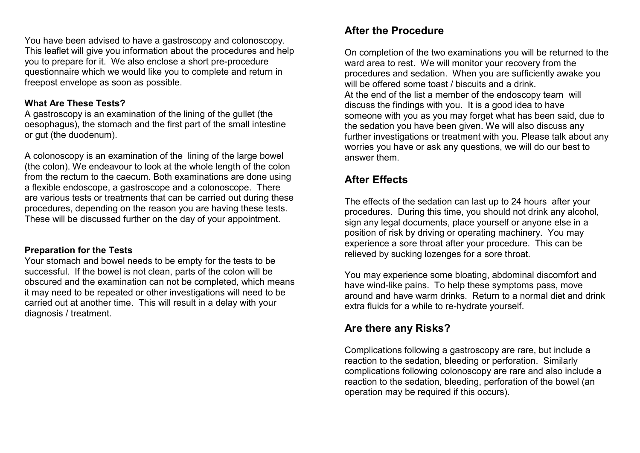You have been advised to have a gastroscopy and colonoscopy. This leaflet will give you information about the procedures and help you to prepare for it. We also enclose a short pre-procedure questionnaire which we would like you to complete and return in freepost envelope as soon as possible.

## **What Are These Tests?**

A gastroscopy is an examination of the lining of the gullet (the oesophagus), the stomach and the first part of the small intestine or gut (the duodenum).

A colonoscopy is an examination of the lining of the large bowel (the colon). We endeavour to look at the whole length of the colon from the rectum to the caecum. Both examinations are done using a flexible endoscope, a gastroscope and a colonoscope. There are various tests or treatments that can be carried out during these procedures, depending on the reason you are having these tests. These will be discussed further on the day of your appointment.

## **Preparation for the Tests**

Your stomach and bowel needs to be empty for the tests to be successful. If the bowel is not clean, parts of the colon will be obscured and the examination can not be completed, which means it may need to be repeated or other investigations will need to be carried out at another time. This will result in a delay with your diagnosis / treatment.

# **After the Procedure**

On completion of the two examinations you will be returned to the ward area to rest. We will monitor your recovery from the procedures and sedation. When you are sufficiently awake you will be offered some toast / biscuits and a drink. At the end of the list a member of the endoscopy team will discuss the findings with you. It is a good idea to have someone with you as you may forget what has been said, due to the sedation you have been given. We will also discuss any further investigations or treatment with you. Please talk about any worries you have or ask any questions, we will do our best to answer them.

# **After Effects**

The effects of the sedation can last up to 24 hours after your procedures. During this time, you should not drink any alcohol, sign any legal documents, place yourself or anyone else in a position of risk by driving or operating machinery. You may experience a sore throat after your procedure. This can be relieved by sucking lozenges for a sore throat.

You may experience some bloating, abdominal discomfort and have wind-like pains. To help these symptoms pass, move around and have warm drinks. Return to a normal diet and drink extra fluids for a while to re-hydrate yourself.

## **Are there any Risks?**

Complications following a gastroscopy are rare, but include a reaction to the sedation, bleeding or perforation. Similarly complications following colonoscopy are rare and also include a reaction to the sedation, bleeding, perforation of the bowel (an operation may be required if this occurs).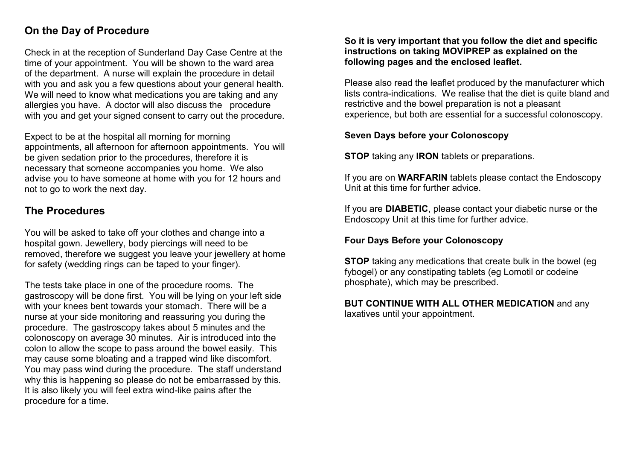# **On the Day of Procedure**

Check in at the reception of Sunderland Day Case Centre at the time of your appointment. You will be shown to the ward area of the department. A nurse will explain the procedure in detail with you and ask you a few questions about your general health. We will need to know what medications you are taking and any allergies you have. A doctor will also discuss the procedure with you and get your signed consent to carry out the procedure.

Expect to be at the hospital all morning for morning appointments, all afternoon for afternoon appointments. You will be given sedation prior to the procedures, therefore it is necessary that someone accompanies you home. We also advise you to have someone at home with you for 12 hours and not to go to work the next day.

## **The Procedures**

You will be asked to take off your clothes and change into a hospital gown. Jewellery, body piercings will need to be removed, therefore we suggest you leave your jewellery at home for safety (wedding rings can be taped to your finger).

The tests take place in one of the procedure rooms. The gastroscopy will be done first. You will be lying on your left side with your knees bent towards your stomach. There will be a nurse at your side monitoring and reassuring you during the procedure. The gastroscopy takes about 5 minutes and the colonoscopy on average 30 minutes. Air is introduced into the colon to allow the scope to pass around the bowel easily. This may cause some bloating and a trapped wind like discomfort. You may pass wind during the procedure. The staff understand why this is happening so please do not be embarrassed by this. It is also likely you will feel extra wind-like pains after the procedure for a time.

#### **So it is very important that you follow the diet and specific instructions on taking MOVIPREP as explained on the following pages and the enclosed leaflet.**

Please also read the leaflet produced by the manufacturer which lists contra-indications. We realise that the diet is quite bland and restrictive and the bowel preparation is not a pleasant experience, but both are essential for a successful colonoscopy.

## **Seven Days before your Colonoscopy**

**STOP** taking any **IRON** tablets or preparations.

If you are on **WARFARIN** tablets please contact the Endoscopy Unit at this time for further advice.

If you are **DIABETIC**, please contact your diabetic nurse or the Endoscopy Unit at this time for further advice.

## **Four Days Before your Colonoscopy**

**STOP** taking any medications that create bulk in the bowel (eq. fybogel) or any constipating tablets (eg Lomotil or codeine phosphate), which may be prescribed.

#### **BUT CONTINUE WITH ALL OTHER MEDICATION** and any laxatives until your appointment.